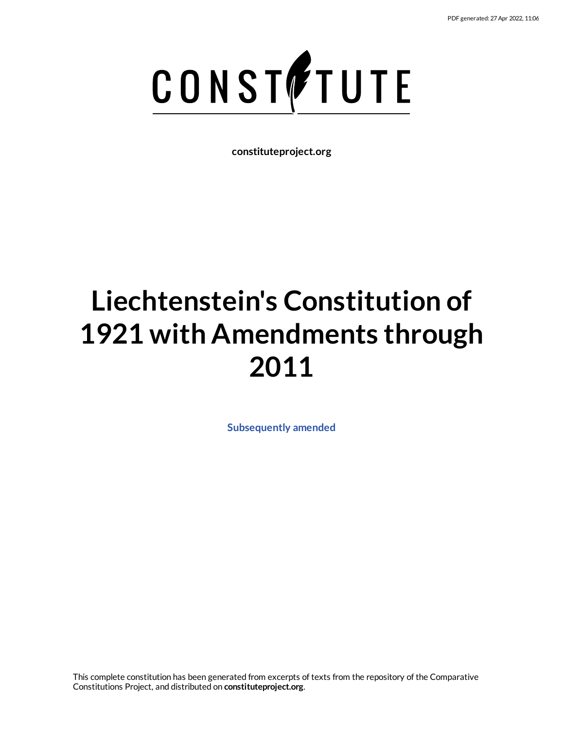

**constituteproject.org**

# **Liechtenstein's Constitution of 1921 with Amendments through 2011**

**[Subsequently](https://constituteproject.org/Europe/Liechtenstein_2011?lang=en) amended**

This complete constitution has been generated from excerpts of texts from the repository of the Comparative Constitutions Project, and distributed on **constituteproject.org**.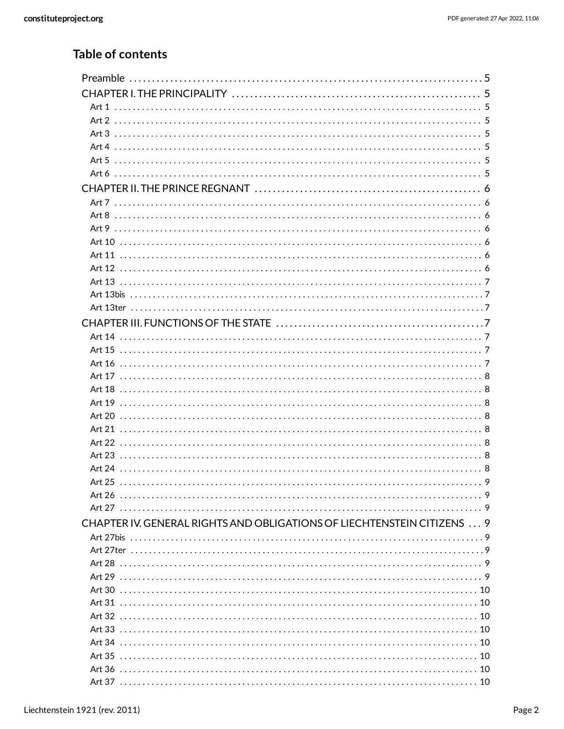## **Table of contents**

| CHAPTER IV. GENERAL RIGHTS AND OBLIGATIONS OF LIECHTENSTEIN CITIZENS  9 |  |
|-------------------------------------------------------------------------|--|
|                                                                         |  |
|                                                                         |  |
|                                                                         |  |
|                                                                         |  |
|                                                                         |  |
|                                                                         |  |
|                                                                         |  |
|                                                                         |  |
|                                                                         |  |
|                                                                         |  |
|                                                                         |  |
|                                                                         |  |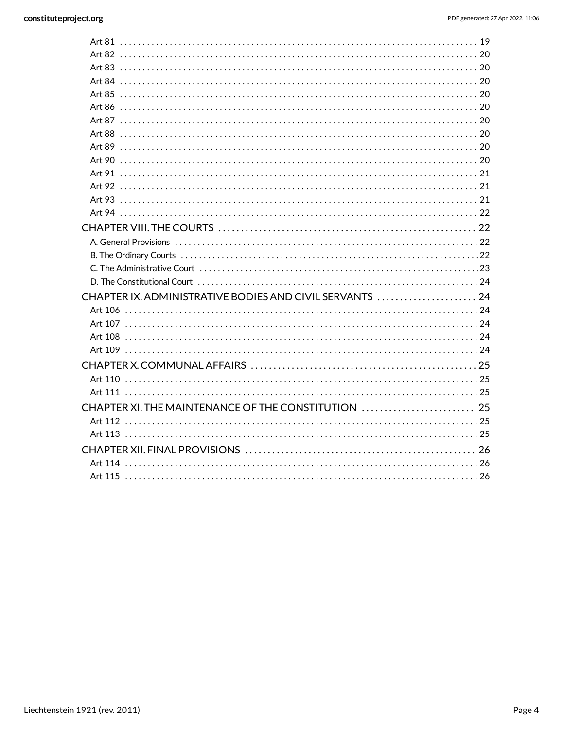| CHAPTER IX. ADMINISTRATIVE BODIES AND CIVIL SERVANTS  24 |  |
|----------------------------------------------------------|--|
|                                                          |  |
|                                                          |  |
|                                                          |  |
|                                                          |  |
|                                                          |  |
|                                                          |  |
|                                                          |  |
| CHAPTER XI. THE MAINTENANCE OF THE CONSTITUTION 25       |  |
|                                                          |  |
|                                                          |  |
|                                                          |  |
|                                                          |  |
|                                                          |  |
|                                                          |  |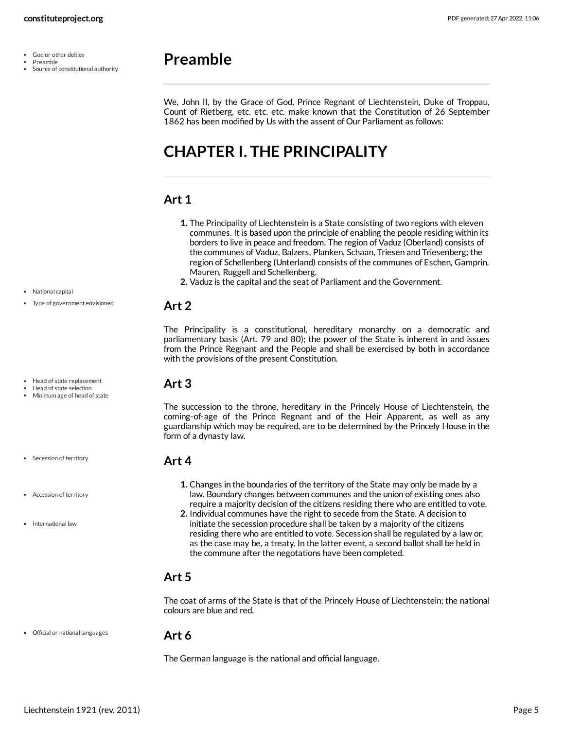- God or other deities  $\bullet$
- Preamble
- Source of constitutional authority

# <span id="page-4-0"></span>**Preamble**

We, John II, by the Grace of God, Prince Regnant of Liechtenstein, Duke of Troppau, Count of Rietberg, etc. etc. etc. make known that the Constitution of 26 September 1862 has been modified by Us with the assent of Our Parliament as follows:

# <span id="page-4-1"></span>**CHAPTER I. THE PRINCIPALITY**

#### <span id="page-4-2"></span>**Art 1**

- **1.** The Principality of Liechtenstein is a State consisting of two regions with eleven communes. It is based upon the principle of enabling the people residing within its borders to live in peace and freedom. The region of Vaduz (Oberland) consists of the communes of Vaduz, Balzers, Planken, Schaan, Triesen and Triesenberg; the region of Schellenberg (Unterland) consists of the communes of Eschen, Gamprin, Mauren, Ruggell and Schellenberg.
- **2.** Vaduz is the capital and the seat of Parliament and the Government.

#### <span id="page-4-3"></span>**Art 2**

The Principality is a constitutional, hereditary monarchy on a democratic and parliamentary basis (Art. 79 and 80); the power of the State is inherent in and issues from the Prince Regnant and the People and shall be exercised by both in accordance with the provisions of the present Constitution.

#### <span id="page-4-4"></span>**Art 3**

The succession to the throne, hereditary in the Princely House of Liechtenstein, the coming-of-age of the Prince Regnant and of the Heir Apparent, as well as any guardianship which may be required, are to be determined by the Princely House in the form of a dynasty law.

#### <span id="page-4-5"></span>**Art 4**

- **1.** Changes in the boundaries of the territory of the State may only be made by a law. Boundary changes between communes and the union of existing ones also require a majority decision of the citizens residing there who are entitled to vote.
- **2.** Individual communes have the right to secede from the State. A decision to initiate the secession procedure shall be taken by a majority of the citizens residing there who are entitled to vote. Secession shall be regulated by a law or, as the case may be, a treaty. In the latter event, a second ballot shall be held in the commune after the negotations have been completed.

#### <span id="page-4-6"></span>**Art 5**

The coat of arms of the State is that of the Princely House of Liechtenstein; the national colours are blue and red.

#### Official or national languages

#### <span id="page-4-7"></span>**Art 6**

The German language is the national and official language.

- National capital Type of government envisioned
- 
- Head of state replacement
- Head of state selection Minimum age of head of state
- Secession of territory
- Accession of territory
- International law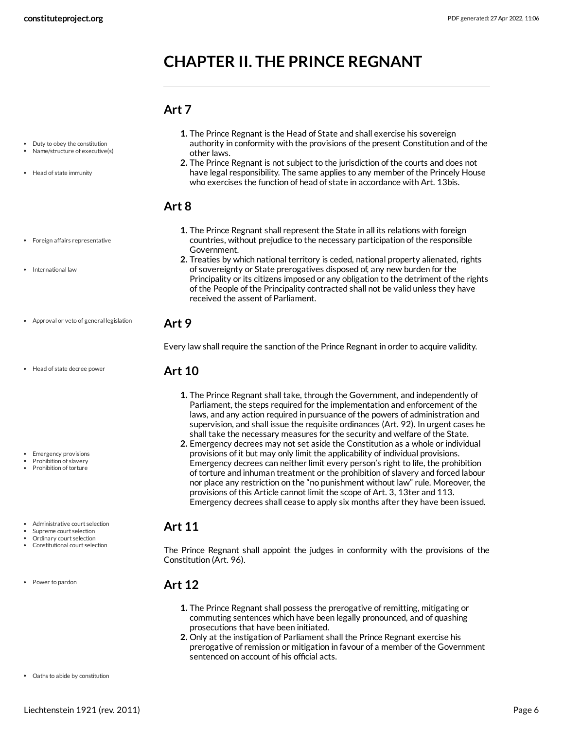# <span id="page-5-0"></span>**CHAPTER II. THE PRINCE REGNANT**

#### <span id="page-5-1"></span>**Art 7**

- Duty to obey the constitution
- Name/structure of executive(s)
- Head of state immunity
- Foreign affairs representative
- International law
- Approval or veto of general legislation
- Head of state decree power

- Emergency provisions
- Prohibition of slavery Prohibition of torture
- Administrative court selection
- Supreme court selection
- Ordinary court selection
- Constitutional court selection
- Power to pardon
- **1.** The Prince Regnant is the Head of State and shall exercise his sovereign authority in conformity with the provisions of the present Constitution and of the other laws.
- **2.** The Prince Regnant is not subject to the jurisdiction of the courts and does not have legal responsibility. The same applies to any member of the Princely House who exercises the function of head of state in accordance with Art. 13bis.

#### <span id="page-5-2"></span>**Art 8**

- **1.** The Prince Regnant shall represent the State in all its relations with foreign countries, without prejudice to the necessary participation of the responsible Government.
- **2.** Treaties by which national territory is ceded, national property alienated, rights of sovereignty or State prerogatives disposed of, any new burden for the Principality or its citizens imposed or any obligation to the detriment of the rights of the People of the Principality contracted shall not be valid unless they have received the assent of Parliament.

#### <span id="page-5-3"></span>**Art 9**

<span id="page-5-4"></span>Every law shall require the sanction of the Prince Regnant in order to acquire validity.

#### **Art 10**

- **1.** The Prince Regnant shall take, through the Government, and independently of Parliament, the steps required for the implementation and enforcement of the laws, and any action required in pursuance of the powers of administration and supervision, and shall issue the requisite ordinances (Art. 92). In urgent cases he shall take the necessary measures for the security and welfare of the State.
- **2.** Emergency decrees may not set aside the Constitution as a whole or individual provisions of it but may only limit the applicability of individual provisions. Emergency decrees can neither limit every person's right to life, the prohibition of torture and inhuman treatment or the prohibition of slavery and forced labour nor place any restriction on the "no punishment without law" rule. Moreover, the provisions of this Article cannot limit the scope of Art. 3, 13ter and 113. Emergency decrees shall cease to apply six months after they have been issued.

#### <span id="page-5-5"></span>**Art 11**

The Prince Regnant shall appoint the judges in conformity with the provisions of the Constitution (Art. 96).

#### <span id="page-5-6"></span>**Art 12**

- **1.** The Prince Regnant shall possess the prerogative of remitting, mitigating or commuting sentences which have been legally pronounced, and of quashing prosecutions that have been initiated.
- <span id="page-5-7"></span>**2.** Only at the instigation of Parliament shall the Prince Regnant exercise his prerogative of remission or mitigation in favour of a member of the Government sentenced on account of his official acts.

Oaths to abide by constitution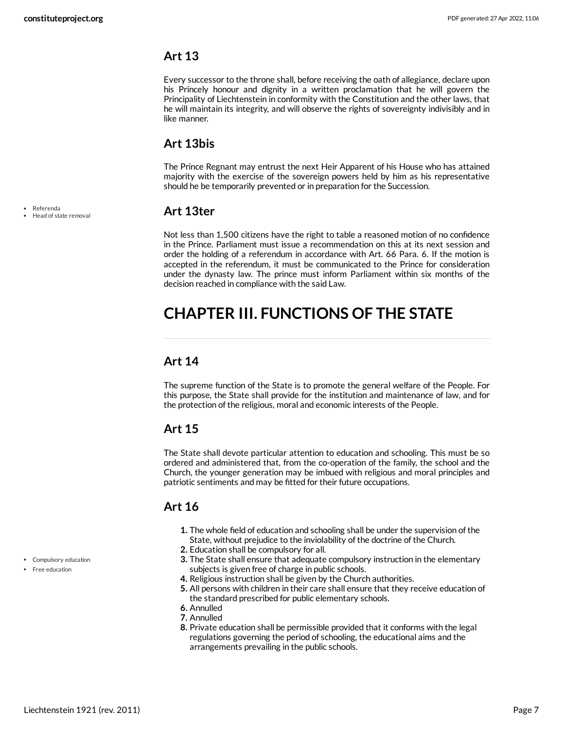<span id="page-6-0"></span>Every successor to the throne shall, before receiving the oath of allegiance, declare upon his Princely honour and dignity in a written proclamation that he will govern the Principality of Liechtenstein in conformity with the Constitution and the other laws, that he will maintain its integrity, and will observe the rights of sovereignty indivisibly and in like manner.

#### <span id="page-6-1"></span>**Art 13bis**

The Prince Regnant may entrust the next Heir Apparent of his House who has attained majority with the exercise of the sovereign powers held by him as his representative should he be temporarily prevented or in preparation for the Succession.

#### <span id="page-6-2"></span>**Art 13ter**

Not less than 1,500 citizens have the right to table a reasoned motion of no confidence in the Prince. Parliament must issue a recommendation on this at its next session and order the holding of a referendum in accordance with Art. 66 Para. 6. If the motion is accepted in the referendum, it must be communicated to the Prince for consideration under the dynasty law. The prince must inform Parliament within six months of the decision reached in compliance with the said Law.

# <span id="page-6-3"></span>**CHAPTER III. FUNCTIONS OF THE STATE**

#### <span id="page-6-4"></span>**Art 14**

The supreme function of the State is to promote the general welfare of the People. For this purpose, the State shall provide for the institution and maintenance of law, and for the protection of the religious, moral and economic interests of the People.

### <span id="page-6-5"></span>**Art 15**

The State shall devote particular attention to education and schooling. This must be so ordered and administered that, from the co-operation of the family, the school and the Church, the younger generation may be imbued with religious and moral principles and patriotic sentiments and may be fitted for their future occupations.

### <span id="page-6-6"></span>**Art 16**

- **1.** The whole field of education and schooling shall be under the supervision of the State, without prejudice to the inviolability of the doctrine of the Church.
- **2.** Education shall be compulsory for all.
- **3.** The State shall ensure that adequate compulsory instruction in the elementary subjects is given free of charge in public schools.
- **4.** Religious instruction shall be given by the Church authorities.
- **5.** All persons with children in their care shall ensure that they receive education of the standard prescribed for public elementary schools.
- **6.** Annulled
- **7.** Annulled
- <span id="page-6-7"></span>**8.** Private education shall be permissible provided that it conforms with the legal regulations governing the period of schooling, the educational aims and the arrangements prevailing in the public schools.
- Referenda
- Head of state removal

- Compulsory education
- Free education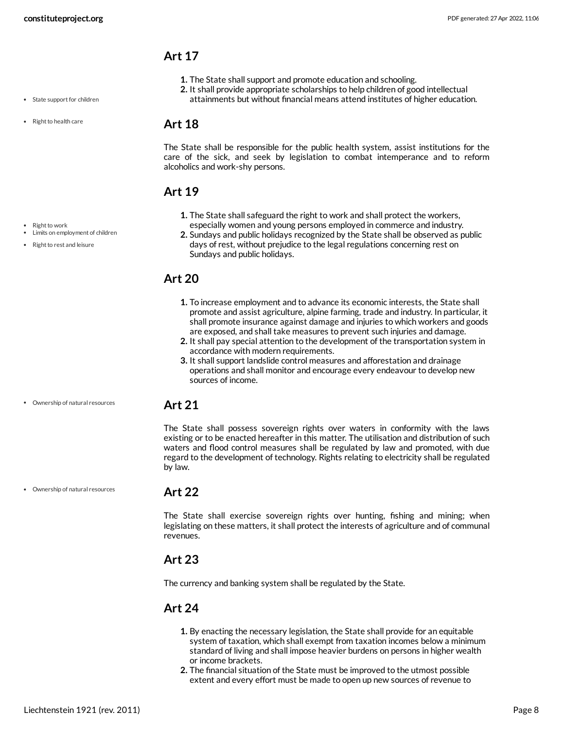• State support for children

• Right to health care

• Right to work

Limits on employment of children • Right to rest and leisure

#### <span id="page-7-0"></span>**Art 17**

- **1.** The State shall support and promote education and schooling.
- **2.** It shall provide appropriate scholarships to help children of good intellectual
- attainments but without financial means attend institutes of higher education.

#### <span id="page-7-1"></span>**Art 18**

The State shall be responsible for the public health system, assist institutions for the care of the sick, and seek by legislation to combat intemperance and to reform alcoholics and work-shy persons.

#### <span id="page-7-2"></span>**Art 19**

- **1.** The State shall safeguard the right to work and shall protect the workers, especially women and young persons employed in commerce and industry.
- **2.** Sundays and public holidays recognized by the State shall be observed as public days of rest, without prejudice to the legal regulations concerning rest on Sundays and public holidays.

#### <span id="page-7-3"></span>**Art 20**

- **1.** To increase employment and to advance its economic interests, the State shall promote and assist agriculture, alpine farming, trade and industry. In particular, it shall promote insurance against damage and injuries to which workers and goods are exposed, and shall take measures to prevent such injuries and damage.
- **2.** It shall pay special attention to the development of the transportation system in accordance with modern requirements.
- **3.** It shall support landslide control measures and afforestation and drainage operations and shall monitor and encourage every endeavour to develop new sources of income.
- Ownership of natural resources

#### <span id="page-7-4"></span>**Art 21**

The State shall possess sovereign rights over waters in conformity with the laws existing or to be enacted hereafter in this matter. The utilisation and distribution of such waters and flood control measures shall be regulated by law and promoted, with due regard to the development of technology. Rights relating to electricity shall be regulated by law.

Ownership of natural resources

#### <span id="page-7-5"></span>**Art 22**

The State shall exercise sovereign rights over hunting, fishing and mining; when legislating on these matters, it shall protect the interests of agriculture and of communal revenues.

#### <span id="page-7-6"></span>**Art 23**

The currency and banking system shall be regulated by the State.

#### <span id="page-7-7"></span>**Art 24**

- **1.** By enacting the necessary legislation, the State shall provide for an equitable system of taxation, which shall exempt from taxation incomes below a minimum standard of living and shall impose heavier burdens on persons in higher wealth or income brackets.
- **2.** The financial situation of the State must be improved to the utmost possible extent and every effort must be made to open up new sources of revenue to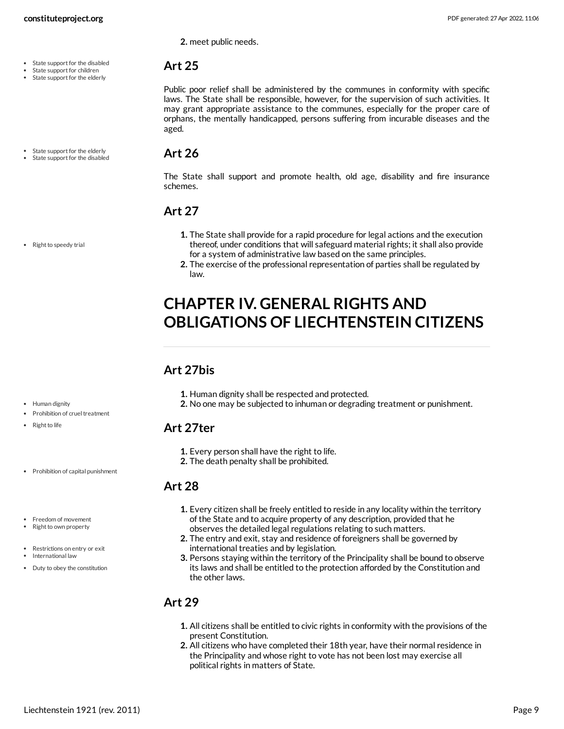State support for the disabled State support for children State support for the elderly

State support for the elderly State support for the disabled **2.** meet public needs.

#### <span id="page-8-0"></span>**Art 25**

Public poor relief shall be administered by the communes in conformity with specific laws. The State shall be responsible, however, for the supervision of such activities. It may grant appropriate assistance to the communes, especially for the proper care of orphans, the mentally handicapped, persons suffering from incurable diseases and the aged.

#### <span id="page-8-1"></span>**Art 26**

The State shall support and promote health, old age, disability and fire insurance schemes.

# <span id="page-8-2"></span>**Art 27**

- **1.** The State shall provide for a rapid procedure for legal actions and the execution thereof, under conditions that will safeguard material rights; it shall also provide for a system of administrative law based on the same principles.
- **2.** The exercise of the professional representation of parties shall be regulated by law.

# <span id="page-8-3"></span>**CHAPTER IV. GENERAL RIGHTS AND OBLIGATIONS OF LIECHTENSTEIN CITIZENS**

### <span id="page-8-4"></span>**Art 27bis**

- **1.** Human dignity shall be respected and protected.
- **2.** No one may be subjected to inhuman or degrading treatment or punishment.

#### <span id="page-8-5"></span>**Art 27ter**

- **1.** Every person shall have the right to life.
- **2.** The death penalty shall be prohibited.

### <span id="page-8-6"></span>**Art 28**

- **1.** Every citizen shall be freely entitled to reside in any locality within the territory of the State and to acquire property of any description, provided that he observes the detailed legal regulations relating to such matters.
- **2.** The entry and exit, stay and residence of foreigners shall be governed by international treaties and by legislation.
- **3.** Persons staying within the territory of the Principality shall be bound to observe its laws and shall be entitled to the protection afforded by the Constitution and the other laws.

### <span id="page-8-7"></span>**Art 29**

- **1.** All citizens shall be entitled to civic rights in conformity with the provisions of the present Constitution.
- **2.** All citizens who have completed their 18th year, have their normal residence in the Principality and whose right to vote has not been lost may exercise all political rights in matters of State.

• Human dignity

• Right to life

• Right to speedy trial

• Prohibition of capital punishment

Prohibition of cruel treatment

Freedom of movement

- Right to own property
- Restrictions on entry or exit • International law Duty to obey the constitution

Liechtenstein 1921 (rev. 2011) Page 9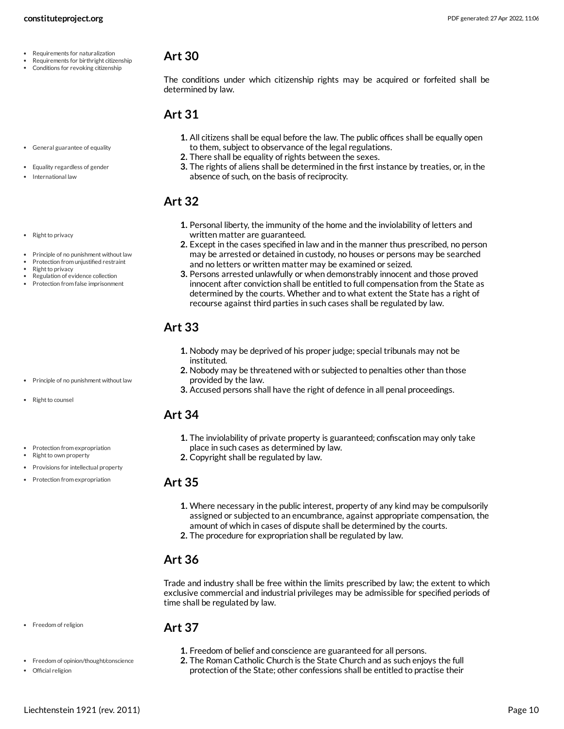- Requirements for naturalization
- Requirements for birthright citizenship
- Conditions for revoking citizenship

<span id="page-9-0"></span>The conditions under which citizenship rights may be acquired or forfeited shall be determined by law.

#### <span id="page-9-1"></span>**Art 31**

- **1.** All citizens shall be equal before the law. The public offices shall be equally open to them, subject to observance of the legal regulations.
- **2.** There shall be equality of rights between the sexes.
- **3.** The rights of aliens shall be determined in the first instance by treaties, or, in the absence of such, on the basis of reciprocity.

#### <span id="page-9-2"></span>**Art 32**

- **1.** Personal liberty, the immunity of the home and the inviolability of letters and written matter are guaranteed.
- **2.** Except in the cases specified in law and in the manner thus prescribed, no person may be arrested or detained in custody, no houses or persons may be searched and no letters or written matter may be examined or seized.
- **3.** Persons arrested unlawfully or when demonstrably innocent and those proved innocent after conviction shall be entitled to full compensation from the State as determined by the courts. Whether and to what extent the State has a right of recourse against third parties in such cases shall be regulated by law.

## <span id="page-9-3"></span>**Art 33**

- **1.** Nobody may be deprived of his proper judge; special tribunals may not be instituted.
- **2.** Nobody may be threatened with or subjected to penalties other than those provided by the law.
- **3.** Accused persons shall have the right of defence in all penal proceedings.

#### <span id="page-9-4"></span>**Art 34**

- **1.** The inviolability of private property is guaranteed; confiscation may only take place in such cases as determined by law.
- **2.** Copyright shall be regulated by law.

#### <span id="page-9-5"></span>**Art 35**

- **1.** Where necessary in the public interest, property of any kind may be compulsorily assigned or subjected to an encumbrance, against appropriate compensation, the amount of which in cases of dispute shall be determined by the courts.
- **2.** The procedure for expropriation shall be regulated by law.

#### <span id="page-9-6"></span>**Art 36**

Trade and industry shall be free within the limits prescribed by law; the extent to which exclusive commercial and industrial privileges may be admissible for specified periods of time shall be regulated by law.

#### • Freedom of religion

- Freedom of opinion/thought/conscience
- Official religion
- <span id="page-9-7"></span>**Art 37**
	- **1.** Freedom of belief and conscience are guaranteed for all persons.
	- **2.** The Roman Catholic Church is the State Church and as such enjoys the full protection of the State; other confessions shall be entitled to practise their
- General guarantee of equality
- Equality regardless of gender
- International law

• Right to privacy

- $\bullet$ Principle of no punishment without law
- Protection from unjustified restraint
- Right to privacy
- Regulation of evidence collection • Protection from false imprisonment

- $\bullet$  Principle of no punishment without law
- Right to counsel
- Protection from expropriation
- Right to own property • Provisions for intellectual property
- Protection from expropriation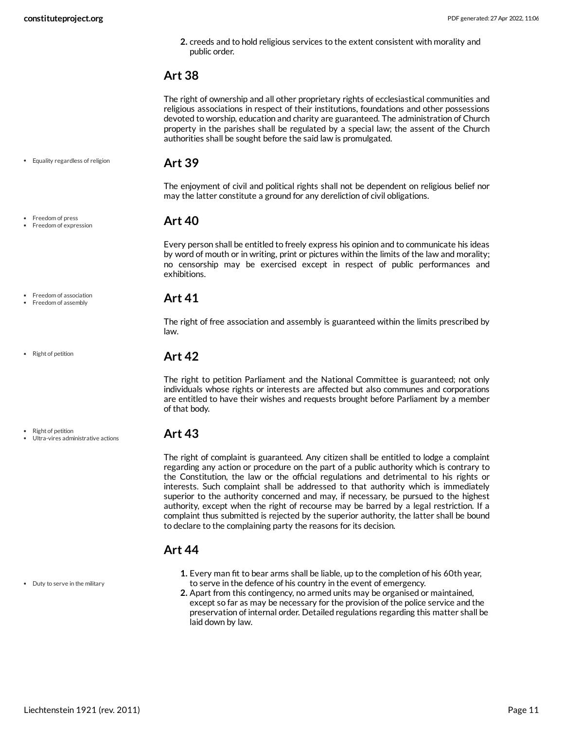**2.** creeds and to hold religious services to the extent consistent with morality and public order.

#### <span id="page-10-0"></span>**Art 38**

The right of ownership and all other proprietary rights of ecclesiastical communities and religious associations in respect of their institutions, foundations and other possessions devoted to worship, education and charity are guaranteed. The administration of Church property in the parishes shall be regulated by a special law; the assent of the Church authorities shall be sought before the said law is promulgated.

#### Equality regardless of religion

<span id="page-10-1"></span>**Art 39**

The enjoyment of civil and political rights shall not be dependent on religious belief nor may the latter constitute a ground for any dereliction of civil obligations.

#### <span id="page-10-2"></span>**Art 40**

Every person shall be entitled to freely express his opinion and to communicate his ideas by word of mouth or in writing, print or pictures within the limits of the law and morality; no censorship may be exercised except in respect of public performances and exhibitions.

#### <span id="page-10-3"></span>**Art 41**

The right of free association and assembly is guaranteed within the limits prescribed by law.

#### <span id="page-10-4"></span>**Art 42**

The right to petition Parliament and the National Committee is guaranteed; not only individuals whose rights or interests are affected but also communes and corporations are entitled to have their wishes and requests brought before Parliament by a member of that body.

#### <span id="page-10-5"></span>**Art 43**

The right of complaint is guaranteed. Any citizen shall be entitled to lodge a complaint regarding any action or procedure on the part of a public authority which is contrary to the Constitution, the law or the official regulations and detrimental to his rights or interests. Such complaint shall be addressed to that authority which is immediately superior to the authority concerned and may, if necessary, be pursued to the highest authority, except when the right of recourse may be barred by a legal restriction. If a complaint thus submitted is rejected by the superior authority, the latter shall be bound to declare to the complaining party the reasons for its decision.

#### <span id="page-10-6"></span>**Art 44**

- **1.** Every man fit to bear arms shall be liable, up to the completion of his 60th year, to serve in the defence of his country in the event of emergency.
- **2.** Apart from this contingency, no armed units may be organised or maintained, except so far as may be necessary for the provision of the police service and the preservation of internal order. Detailed regulations regarding this matter shall be laid down by law.

#### • Freedom of association • Freedom of assembly

Freedom of press Freedom of expression

• Right of petition

• Right of petition

Ultra-vires administrative actions

• Duty to serve in the military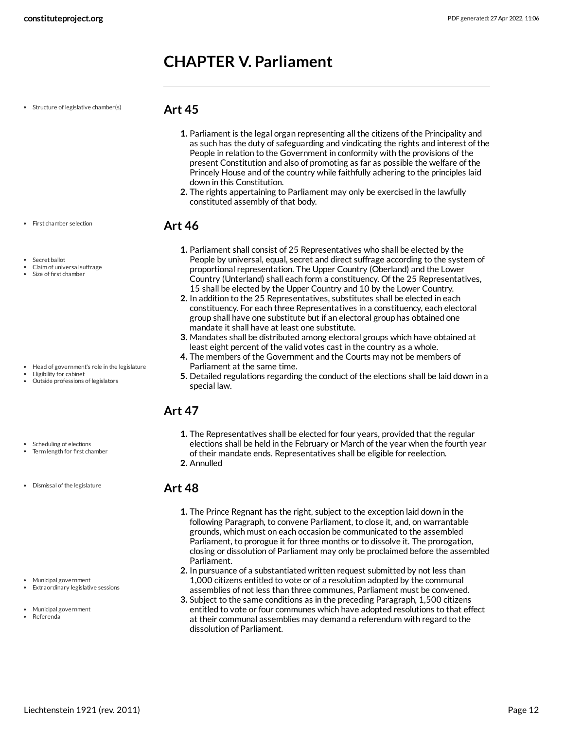# <span id="page-11-0"></span>**CHAPTER V. Parliament**

• Structure of legislative chamber(s)

#### <span id="page-11-1"></span>**Art 45**

- **1.** Parliament is the legal organ representing all the citizens of the Principality and as such has the duty of safeguarding and vindicating the rights and interest of the People in relation to the Government in conformity with the provisions of the present Constitution and also of promoting as far as possible the welfare of the Princely House and of the country while faithfully adhering to the principles laid down in this Constitution.
- **2.** The rights appertaining to Parliament may only be exercised in the lawfully constituted assembly of that body.

#### <span id="page-11-2"></span>**Art 46**

- Secret ballot
- Claim of universal suffrage
- Size of first chamber

• First chamber selection

- Head of government's role in the legislature
- Eligibility for cabinet
- Outside professions of legislators
- **1.** Parliament shall consist of 25 Representatives who shall be elected by the People by universal, equal, secret and direct suffrage according to the system of proportional representation. The Upper Country (Oberland) and the Lower Country (Unterland) shall each form a constituency. Of the 25 Representatives, 15 shall be elected by the Upper Country and 10 by the Lower Country.
- **2.** In addition to the 25 Representatives, substitutes shall be elected in each constituency. For each three Representatives in a constituency, each electoral group shall have one substitute but if an electoral group has obtained one mandate it shall have at least one substitute.
- **3.** Mandates shall be distributed among electoral groups which have obtained at least eight percent of the valid votes cast in the country as a whole.
- **4.** The members of the Government and the Courts may not be members of Parliament at the same time.
- **5.** Detailed regulations regarding the conduct of the elections shall be laid down in a special law.

### <span id="page-11-3"></span>**Art 47**

- **1.** The Representatives shall be elected for four years, provided that the regular elections shall be held in the February or March of the year when the fourth year of their mandate ends. Representatives shall be eligible for reelection.
- **2.** Annulled

#### <span id="page-11-4"></span>**Art 48**

- **1.** The Prince Regnant has the right, subject to the exception laid down in the following Paragraph, to convene Parliament, to close it, and, on warrantable grounds, which must on each occasion be communicated to the assembled Parliament, to prorogue it for three months or to dissolve it. The prorogation, closing or dissolution of Parliament may only be proclaimed before the assembled Parliament.
- **2.** In pursuance of a substantiated written request submitted by not less than 1,000 citizens entitled to vote or of a resolution adopted by the communal assemblies of not less than three communes, Parliament must be convened.
- **3.** Subject to the same conditions as in the preceding Paragraph, 1,500 citizens entitled to vote or four communes which have adopted resolutions to that effect at their communal assemblies may demand a referendum with regard to the dissolution of Parliament.

Scheduling of elections Term length for first chamber

Dismissal of the legislature

- Municipal government Extraordinary legislative sessions
- 
- Municipal government Referenda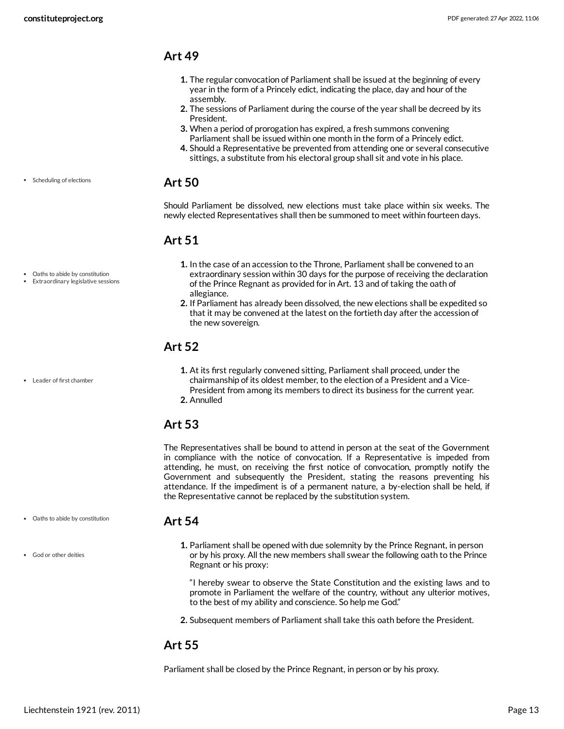• Scheduling of elections

Oaths to abide by constitution Extraordinary legislative sessions

Leader of first chamber

#### <span id="page-12-0"></span>**Art 49**

- **1.** The regular convocation of Parliament shall be issued at the beginning of every year in the form of a Princely edict, indicating the place, day and hour of the assembly.
- **2.** The sessions of Parliament during the course of the year shall be decreed by its President.
- **3.** When a period of prorogation has expired, a fresh summons convening Parliament shall be issued within one month in the form of a Princely edict.
- **4.** Should a Representative be prevented from attending one or several consecutive sittings, a substitute from his electoral group shall sit and vote in his place.

#### <span id="page-12-1"></span>**Art 50**

Should Parliament be dissolved, new elections must take place within six weeks. The newly elected Representatives shall then be summoned to meet within fourteen days.

#### <span id="page-12-2"></span>**Art 51**

- **1.** In the case of an accession to the Throne, Parliament shall be convened to an extraordinary session within 30 days for the purpose of receiving the declaration of the Prince Regnant as provided for in Art. 13 and of taking the oath of allegiance.
- **2.** If Parliament has already been dissolved, the new elections shall be expedited so that it may be convened at the latest on the fortieth day after the accession of the new sovereign.

#### <span id="page-12-3"></span>**Art 52**

**1.** At its first regularly convened sitting, Parliament shall proceed, under the chairmanship of its oldest member, to the election of a President and a Vice-President from among its members to direct its business for the current year. **2.** Annulled

#### <span id="page-12-4"></span>**Art 53**

The Representatives shall be bound to attend in person at the seat of the Government in compliance with the notice of convocation. If a Representative is impeded from attending, he must, on receiving the first notice of convocation, promptly notify the Government and subsequently the President, stating the reasons preventing his attendance. If the impediment is of a permanent nature, a by-election shall be held, if the Representative cannot be replaced by the substitution system.

- Oaths to abide by constitution
- God or other deities
- <span id="page-12-5"></span>**Art 54**
	- **1.** Parliament shall be opened with due solemnity by the Prince Regnant, in person or by his proxy. All the new members shall swear the following oath to the Prince Regnant or his proxy:

"I hereby swear to observe the State Constitution and the existing laws and to promote in Parliament the welfare of the country, without any ulterior motives, to the best of my ability and conscience. So help me God."

**2.** Subsequent members of Parliament shall take this oath before the President.

#### <span id="page-12-6"></span>**Art 55**

Parliament shall be closed by the Prince Regnant, in person or by his proxy.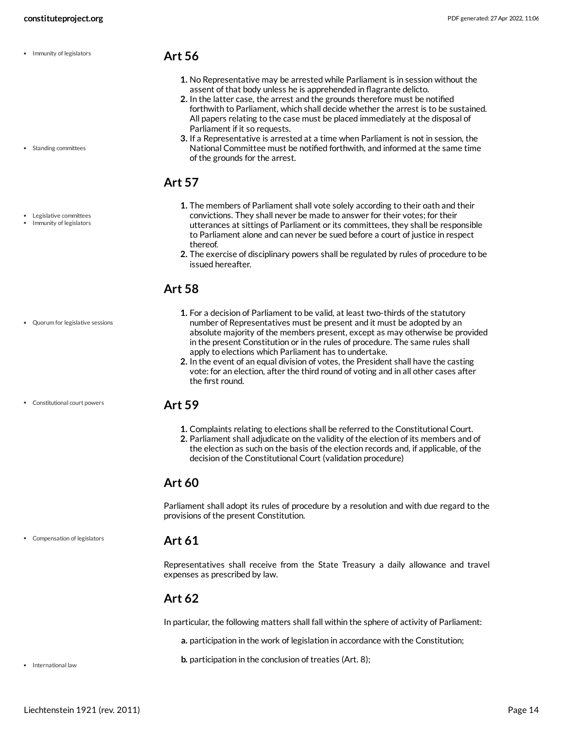• Immunity of legislators

• Standing committees

Legislative committees • Immunity of legislators

#### <span id="page-13-0"></span>**Art 56**

- **1.** No Representative may be arrested while Parliament is in session without the assent of that body unless he is apprehended in flagrante delicto.
- **2.** In the latter case, the arrest and the grounds therefore must be notified forthwith to Parliament, which shall decide whether the arrest is to be sustained. All papers relating to the case must be placed immediately at the disposal of Parliament if it so requests.
- **3.** If a Representative is arrested at a time when Parliament is not in session, the National Committee must be notified forthwith, and informed at the same time of the grounds for the arrest.

#### <span id="page-13-1"></span>**Art 57**

- **1.** The members of Parliament shall vote solely according to their oath and their convictions. They shall never be made to answer for their votes; for their utterances at sittings of Parliament or its committees, they shall be responsible to Parliament alone and can never be sued before a court of justice in respect thereof.
- **2.** The exercise of disciplinary powers shall be regulated by rules of procedure to be issued hereafter.

**1.** For a decision of Parliament to be valid, at least two-thirds of the statutory number of Representatives must be present and it must be adopted by an absolute majority of the members present, except as may otherwise be provided in the present Constitution or in the rules of procedure. The same rules shall

apply to elections which Parliament has to undertake.

## <span id="page-13-2"></span>**Art 58**

- Quorum for legislative sessions
- Constitutional court powers

#### <span id="page-13-3"></span>**Art 59**

the first round.

**1.** Complaints relating to elections shall be referred to the Constitutional Court.

**2.** In the event of an equal division of votes, the President shall have the casting vote: for an election, after the third round of voting and in all other cases after

**2.** Parliament shall adjudicate on the validity of the election of its members and of the election as such on the basis of the election records and, if applicable, of the decision of the Constitutional Court (validation procedure)

#### <span id="page-13-4"></span>**Art 60**

Parliament shall adopt its rules of procedure by a resolution and with due regard to the provisions of the present Constitution.

Compensation of legislators

#### <span id="page-13-5"></span>**Art 61**

Representatives shall receive from the State Treasury a daily allowance and travel expenses as prescribed by law.

#### <span id="page-13-6"></span>**Art 62**

<span id="page-13-7"></span>In particular, the following matters shall fall within the sphere of activity of Parliament:

**a.** participation in the work of legislation in accordance with the Constitution;

**b.** participation in the conclusion of treaties (Art. 8);

• International law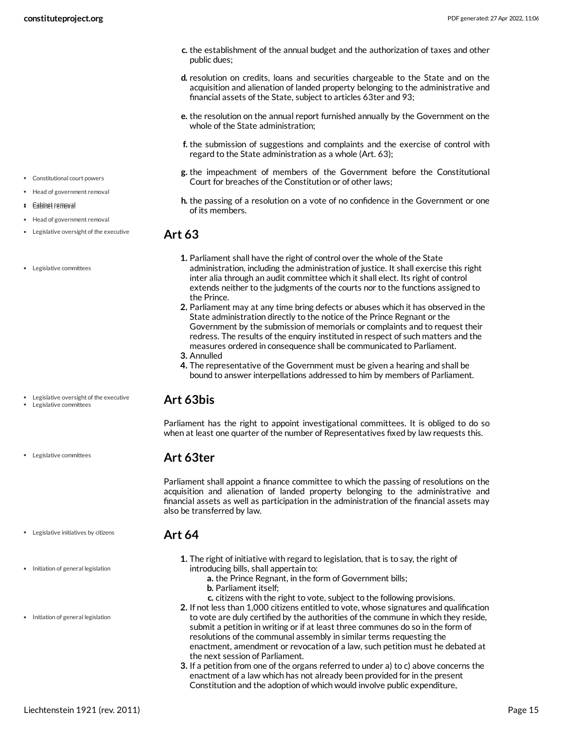- **c.** the establishment of the annual budget and the authorization of taxes and other public dues;
- **d.** resolution on credits, loans and securities chargeable to the State and on the acquisition and alienation of landed property belonging to the administrative and financial assets of the State, subject to articles 63ter and 93;
- **e.** the resolution on the annual report furnished annually by the Government on the whole of the State administration;
- **f.** the submission of suggestions and complaints and the exercise of control with regard to the State administration as a whole (Art. 63);
- **g.** the impeachment of members of the Government before the Constitutional Court for breaches of the Constitution or of other laws;
- **h.** the passing of a resolution on a vote of no confidence in the Government or one of its members.

- <span id="page-14-0"></span>**1.** Parliament shall have the right of control over the whole of the State administration, including the administration of justice. It shall exercise this right inter alia through an audit committee which it shall elect. Its right of control extends neither to the judgments of the courts nor to the functions assigned to the Prince.
- **2.** Parliament may at any time bring defects or abuses which it has observed in the State administration directly to the notice of the Prince Regnant or the Government by the submission of memorials or complaints and to request their redress. The results of the enquiry instituted in respect of such matters and the measures ordered in consequence shall be communicated to Parliament.
- **3.** Annulled
- **4.** The representative of the Government must be given a hearing and shall be bound to answer interpellations addressed to him by members of Parliament.

#### <span id="page-14-1"></span>**Art 63bis**

Parliament has the right to appoint investigational committees. It is obliged to do so when at least one quarter of the number of Representatives fixed by law requests this.

#### <span id="page-14-2"></span>**Art 63ter**

<span id="page-14-3"></span>**Art 64**

Parliament shall appoint a finance committee to which the passing of resolutions on the acquisition and alienation of landed property belonging to the administrative and financial assets as well as participation in the administration of the financial assets may also be transferred by law.

- Legislative initiatives by citizens
- Initiation of general legislation
- Initiation of general legislation
- **1.** The right of initiative with regard to legislation, that is to say, the right of introducing bills, shall appertain to:
	- **a.** the Prince Regnant, in the form of Government bills;
	- **b.** Parliament itself;
	- **c.** citizens with the right to vote, subject to the following provisions.
- **2.** If not less than 1,000 citizens entitled to vote, whose signatures and qualification to vote are duly certified by the authorities of the commune in which they reside, submit a petition in writing or if at least three communes do so in the form of resolutions of the communal assembly in similar terms requesting the enactment, amendment or revocation of a law, such petition must he debated at the next session of Parliament.
- **3.** If a petition from one of the organs referred to under a) to c) above concerns the enactment of a law which has not already been provided for in the present Constitution and the adoption of which would involve public expenditure,

#### Constitutional court powers

- Head of government removal
- **\*** Cabinet removal
- Head of government removal
- Legislative oversight of the executive
- Legislative committees

- Legislative oversight of the executive Legislative committees
- 
- Legislative committees
	-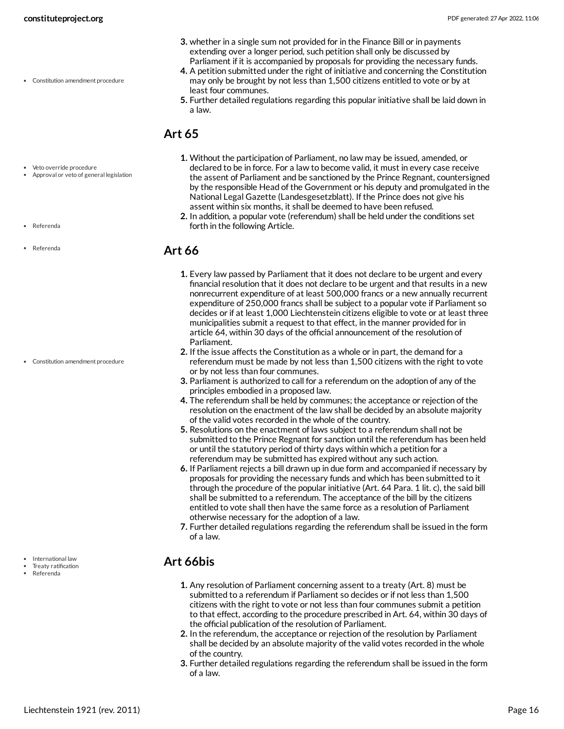Constitution amendment procedure

- **3.** whether in a single sum not provided for in the Finance Bill or in payments extending over a longer period, such petition shall only be discussed by Parliament if it is accompanied by proposals for providing the necessary funds.
- **4.** A petition submitted under the right of initiative and concerning the Constitution may only be brought by not less than 1,500 citizens entitled to vote or by at least four communes.
- **5.** Further detailed regulations regarding this popular initiative shall be laid down in a law.

## <span id="page-15-0"></span>**Art 65**

- **1.** Without the participation of Parliament, no law may be issued, amended, or declared to be in force. For a law to become valid, it must in every case receive the assent of Parliament and be sanctioned by the Prince Regnant, countersigned by the responsible Head of the Government or his deputy and promulgated in the National Legal Gazette (Landesgesetzblatt). If the Prince does not give his assent within six months, it shall be deemed to have been refused.
	- **2.** In addition, a popular vote (referendum) shall be held under the conditions set forth in the following Article.

### <span id="page-15-1"></span>**Art 66**

- **1.** Every law passed by Parliament that it does not declare to be urgent and every financial resolution that it does not declare to be urgent and that results in a new nonrecurrent expenditure of at least 500,000 francs or a new annually recurrent expenditure of 250,000 francs shall be subject to a popular vote if Parliament so decides or if at least 1,000 Liechtenstein citizens eligible to vote or at least three municipalities submit a request to that effect, in the manner provided for in article 64, within 30 days of the official announcement of the resolution of Parliament.
- **2.** If the issue affects the Constitution as a whole or in part, the demand for a referendum must be made by not less than 1,500 citizens with the right to vote or by not less than four communes.
- **3.** Parliament is authorized to call for a referendum on the adoption of any of the principles embodied in a proposed law.
- **4.** The referendum shall be held by communes; the acceptance or rejection of the resolution on the enactment of the law shall be decided by an absolute majority of the valid votes recorded in the whole of the country.
- **5.** Resolutions on the enactment of laws subject to a referendum shall not be submitted to the Prince Regnant for sanction until the referendum has been held or until the statutory period of thirty days within which a petition for a referendum may be submitted has expired without any such action.
- **6.** If Parliament rejects a bill drawn up in due form and accompanied if necessary by proposals for providing the necessary funds and which has been submitted to it through the procedure of the popular initiative (Art. 64 Para. 1 lit. c), the said bill shall be submitted to a referendum. The acceptance of the bill by the citizens entitled to vote shall then have the same force as a resolution of Parliament otherwise necessary for the adoption of a law.
- **7.** Further detailed regulations regarding the referendum shall be issued in the form of a law.

## <span id="page-15-2"></span>**Art 66bis**

- **1.** Any resolution of Parliament concerning assent to a treaty (Art. 8) must be submitted to a referendum if Parliament so decides or if not less than 1,500 citizens with the right to vote or not less than four communes submit a petition to that effect, according to the procedure prescribed in Art. 64, within 30 days of the official publication of the resolution of Parliament.
- **2.** In the referendum, the acceptance or rejection of the resolution by Parliament shall be decided by an absolute majority of the valid votes recorded in the whole of the country.
- **3.** Further detailed regulations regarding the referendum shall be issued in the form of a law.
- Veto override procedure Approval or veto of general legislation
- Referenda
- Referenda

Constitution amendment procedure

- International law
- Treaty ratification
- Referenda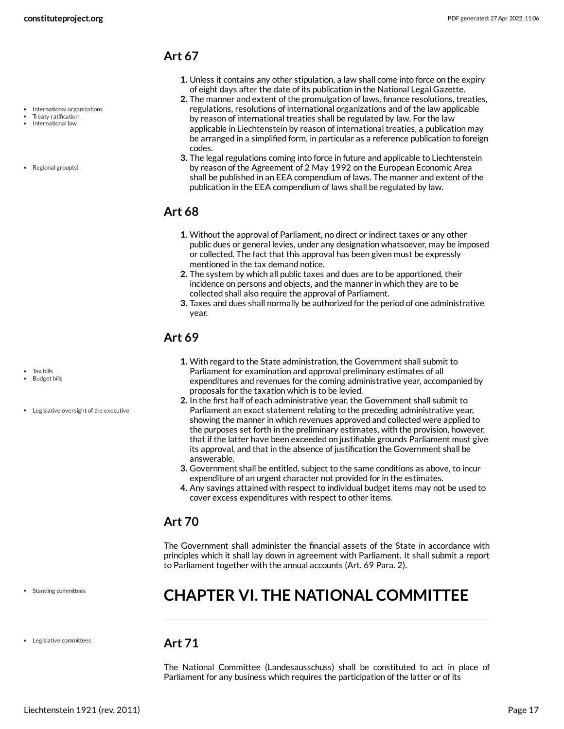• International organizations Treaty ratification • International law

• Regional group(s)

#### <span id="page-16-0"></span>**Art 67**

- **1.** Unless it contains any other stipulation, a law shall come into force on the expiry of eight days after the date of its publication in the National Legal Gazette.
- **2.** The manner and extent of the promulgation of laws, finance resolutions, treaties, regulations, resolutions of international organizations and of the law applicable by reason of international treaties shall be regulated by law. For the law applicable in Liechtenstein by reason of international treaties, a publication may be arranged in a simplified form, in particular as a reference publication to foreign codes.
- **3.** The legal regulations coming into force in future and applicable to Liechtenstein by reason of the Agreement of 2 May 1992 on the European Economic Area shall be published in an EEA compendium of laws. The manner and extent of the publication in the EEA compendium of laws shall be regulated by law.

### <span id="page-16-1"></span>**Art 68**

- **1.** Without the approval of Parliament, no direct or indirect taxes or any other public dues or general levies, under any designation whatsoever, may be imposed or collected. The fact that this approval has been given must be expressly mentioned in the tax demand notice.
- **2.** The system by which all public taxes and dues are to be apportioned, their incidence on persons and objects, and the manner in which they are to be collected shall also require the approval of Parliament.
- **3.** Taxes and dues shall normally be authorized for the period of one administrative year.

### <span id="page-16-2"></span>**Art 69**

- **1.** With regard to the State administration, the Government shall submit to Parliament for examination and approval preliminary estimates of all expenditures and revenues for the coming administrative year, accompanied by proposals for the taxation which is to be levied.
- **2.** In the first half of each administrative year, the Government shall submit to Parliament an exact statement relating to the preceding administrative year, showing the manner in which revenues approved and collected were applied to the purposes set forth in the preliminary estimates, with the provision, however, that if the latter have been exceeded on justifiable grounds Parliament must give its approval, and that in the absence of justification the Government shall be answerable.
- **3.** Government shall be entitled, subject to the same conditions as above, to incur expenditure of an urgent character not provided for in the estimates.
- **4.** Any savings attained with respect to individual budget items may not be used to cover excess expenditures with respect to other items.

#### <span id="page-16-3"></span>**Art 70**

The Government shall administer the financial assets of the State in accordance with principles which it shall lay down in agreement with Parliament. It shall submit a report to Parliament together with the annual accounts (Art. 69 Para. 2).

• Standing committees

#### Legislative committees

# <span id="page-16-4"></span>**CHAPTER VI. THE NATIONAL COMMITTEE**

#### <span id="page-16-5"></span>**Art 71**

The National Committee (Landesausschuss) shall be constituted to act in place of Parliament for any business which requires the participation of the latter or of its

Budget bills

• Tax bills

Legislative oversight of the executive

Liechtenstein 1921 (rev. 2011) Page 17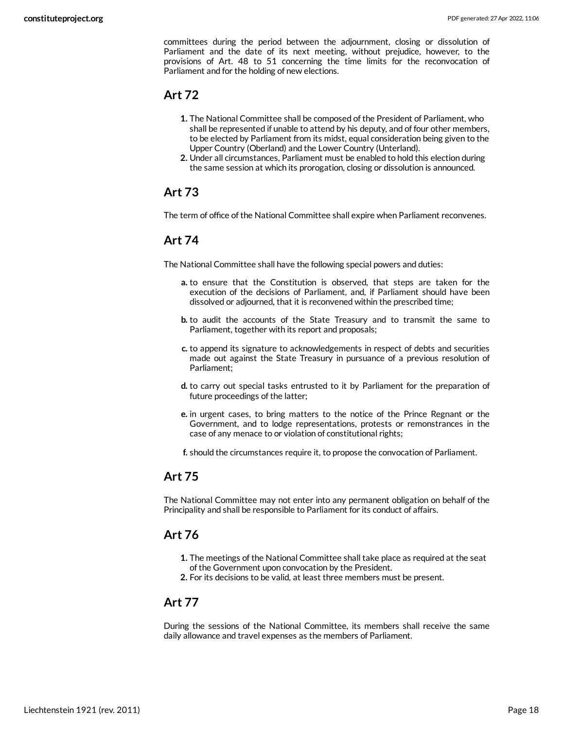committees during the period between the adjournment, closing or dissolution of Parliament and the date of its next meeting, without prejudice, however, to the provisions of Art. 48 to 51 concerning the time limits for the reconvocation of Parliament and for the holding of new elections.

#### <span id="page-17-0"></span>**Art 72**

- **1.** The National Committee shall be composed of the President of Parliament, who shall be represented if unable to attend by his deputy, and of four other members, to be elected by Parliament from its midst, equal consideration being given to the Upper Country (Oberland) and the Lower Country (Unterland).
- **2.** Under all circumstances, Parliament must be enabled to hold this election during the same session at which its prorogation, closing or dissolution is announced.

#### <span id="page-17-1"></span>**Art 73**

The term of office of the National Committee shall expire when Parliament reconvenes.

#### <span id="page-17-2"></span>**Art 74**

The National Committee shall have the following special powers and duties:

- **a.** to ensure that the Constitution is observed, that steps are taken for the execution of the decisions of Parliament, and, if Parliament should have been dissolved or adjourned, that it is reconvened within the prescribed time;
- **b.** to audit the accounts of the State Treasury and to transmit the same to Parliament, together with its report and proposals;
- **c.** to append its signature to acknowledgements in respect of debts and securities made out against the State Treasury in pursuance of a previous resolution of Parliament;
- **d.** to carry out special tasks entrusted to it by Parliament for the preparation of future proceedings of the latter;
- **e.** in urgent cases, to bring matters to the notice of the Prince Regnant or the Government, and to lodge representations, protests or remonstrances in the case of any menace to or violation of constitutional rights;

**f.** should the circumstances require it, to propose the convocation of Parliament.

#### <span id="page-17-3"></span>**Art 75**

The National Committee may not enter into any permanent obligation on behalf of the Principality and shall be responsible to Parliament for its conduct of affairs.

#### <span id="page-17-4"></span>**Art 76**

- **1.** The meetings of the National Committee shall take place as required at the seat of the Government upon convocation by the President.
- **2.** For its decisions to be valid, at least three members must be present.

#### <span id="page-17-5"></span>**Art 77**

During the sessions of the National Committee, its members shall receive the same daily allowance and travel expenses as the members of Parliament.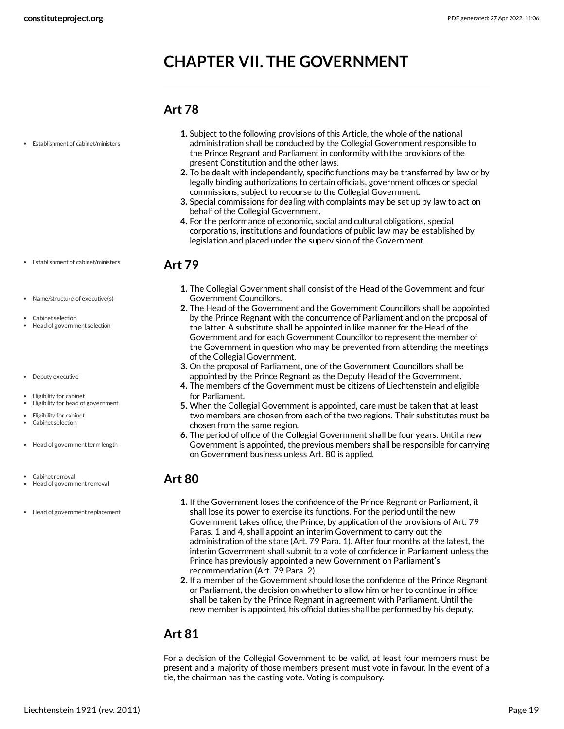# <span id="page-18-0"></span>**CHAPTER VII. THE GOVERNMENT**

#### <span id="page-18-2"></span><span id="page-18-1"></span>**Art 78**

| • Establishment of cabinet/ministers                            | 1. Subject to the following provisions of this Article, the whole of the national<br>administration shall be conducted by the Collegial Government responsible to<br>the Prince Regnant and Parliament in conformity with the provisions of the<br>present Constitution and the other laws.<br>2. To be dealt with independently, specific functions may be transferred by law or by<br>legally binding authorizations to certain officials, government offices or special<br>commissions, subject to recourse to the Collegial Government.<br>3. Special commissions for dealing with complaints may be set up by law to act on<br>behalf of the Collegial Government.<br>4. For the performance of economic, social and cultural obligations, special<br>corporations, institutions and foundations of public law may be established by<br>legislation and placed under the supervision of the Government. |
|-----------------------------------------------------------------|--------------------------------------------------------------------------------------------------------------------------------------------------------------------------------------------------------------------------------------------------------------------------------------------------------------------------------------------------------------------------------------------------------------------------------------------------------------------------------------------------------------------------------------------------------------------------------------------------------------------------------------------------------------------------------------------------------------------------------------------------------------------------------------------------------------------------------------------------------------------------------------------------------------|
| • Establishment of cabinet/ministers                            | <b>Art 79</b>                                                                                                                                                                                                                                                                                                                                                                                                                                                                                                                                                                                                                                                                                                                                                                                                                                                                                                |
|                                                                 | <b>1.</b> The Collegial Government shall consist of the Head of the Government and four                                                                                                                                                                                                                                                                                                                                                                                                                                                                                                                                                                                                                                                                                                                                                                                                                      |
| • Name/structure of executive(s)                                | <b>Government Councillors.</b>                                                                                                                                                                                                                                                                                                                                                                                                                                                                                                                                                                                                                                                                                                                                                                                                                                                                               |
| Cabinet selection                                               | 2. The Head of the Government and the Government Councillors shall be appointed<br>by the Prince Regnant with the concurrence of Parliament and on the proposal of                                                                                                                                                                                                                                                                                                                                                                                                                                                                                                                                                                                                                                                                                                                                           |
| Head of government selection                                    | the latter. A substitute shall be appointed in like manner for the Head of the<br>Government and for each Government Councillor to represent the member of<br>the Government in question who may be prevented from attending the meetings<br>of the Collegial Government.                                                                                                                                                                                                                                                                                                                                                                                                                                                                                                                                                                                                                                    |
|                                                                 | 3. On the proposal of Parliament, one of the Government Councillors shall be                                                                                                                                                                                                                                                                                                                                                                                                                                                                                                                                                                                                                                                                                                                                                                                                                                 |
| • Deputy executive                                              | appointed by the Prince Regnant as the Deputy Head of the Government.                                                                                                                                                                                                                                                                                                                                                                                                                                                                                                                                                                                                                                                                                                                                                                                                                                        |
|                                                                 | 4. The members of the Government must be citizens of Liechtenstein and eligible                                                                                                                                                                                                                                                                                                                                                                                                                                                                                                                                                                                                                                                                                                                                                                                                                              |
| Eligibility for cabinet<br>• Eligibility for head of government | for Parliament.                                                                                                                                                                                                                                                                                                                                                                                                                                                                                                                                                                                                                                                                                                                                                                                                                                                                                              |
|                                                                 | 5. When the Collegial Government is appointed, care must be taken that at least<br>two members are chosen from each of the two regions. Their substitutes must be                                                                                                                                                                                                                                                                                                                                                                                                                                                                                                                                                                                                                                                                                                                                            |
| • Eligibility for cabinet                                       |                                                                                                                                                                                                                                                                                                                                                                                                                                                                                                                                                                                                                                                                                                                                                                                                                                                                                                              |

chosen from the same region.

on Government business unless Art. 80 is applied.

- Eligibility for cabinet Cabinet selection
- $\bullet$  Head of government term length
- Cabinet removal
- Head of government removal
- Head of government replacement
- **1.** If the Government loses the confidence of the Prince Regnant or Parliament, it shall lose its power to exercise its functions. For the period until the new Government takes office, the Prince, by application of the provisions of Art. 79 Paras. 1 and 4, shall appoint an interim Government to carry out the administration of the state (Art. 79 Para. 1). After four months at the latest, the interim Government shall submit to a vote of confidence in Parliament unless the Prince has previously appointed a new Government on Parliament's recommendation (Art. 79 Para. 2).

**6.** The period of office of the Collegial Government shall be four years. Until a new Government is appointed, the previous members shall be responsible for carrying

**2.** If a member of the Government should lose the confidence of the Prince Regnant or Parliament, the decision on whether to allow him or her to continue in office shall be taken by the Prince Regnant in agreement with Parliament. Until the new member is appointed, his official duties shall be performed by his deputy.

#### <span id="page-18-4"></span>**Art 81**

<span id="page-18-3"></span>**Art 80**

For a decision of the Collegial Government to be valid, at least four members must be present and a majority of those members present must vote in favour. In the event of a tie, the chairman has the casting vote. Voting is compulsory.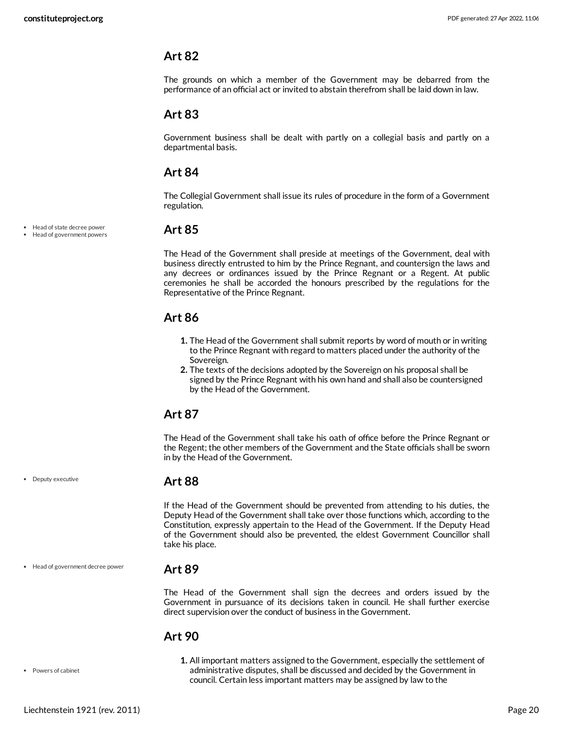<span id="page-19-0"></span>The grounds on which a member of the Government may be debarred from the performance of an official act or invited to abstain therefrom shall be laid down in law.

#### <span id="page-19-1"></span>**Art 83**

Government business shall be dealt with partly on a collegial basis and partly on a departmental basis.

#### <span id="page-19-2"></span>**Art 84**

The Collegial Government shall issue its rules of procedure in the form of a Government regulation.

Head of state decree power Head of government powers

• Deputy executive

#### <span id="page-19-3"></span>**Art 85**

The Head of the Government shall preside at meetings of the Government, deal with business directly entrusted to him by the Prince Regnant, and countersign the laws and any decrees or ordinances issued by the Prince Regnant or a Regent. At public ceremonies he shall be accorded the honours prescribed by the regulations for the Representative of the Prince Regnant.

#### <span id="page-19-4"></span>**Art 86**

- **1.** The Head of the Government shall submit reports by word of mouth or in writing to the Prince Regnant with regard to matters placed under the authority of the Sovereign.
- **2.** The texts of the decisions adopted by the Sovereign on his proposal shall be signed by the Prince Regnant with his own hand and shall also be countersigned by the Head of the Government.

#### <span id="page-19-5"></span>**Art 87**

The Head of the Government shall take his oath of office before the Prince Regnant or the Regent; the other members of the Government and the State officials shall be sworn in by the Head of the Government.

#### <span id="page-19-6"></span>**Art 88**

If the Head of the Government should be prevented from attending to his duties, the Deputy Head of the Government shall take over those functions which, according to the Constitution, expressly appertain to the Head of the Government. If the Deputy Head of the Government should also be prevented, the eldest Government Councillor shall take his place.

Head of government decree power

#### <span id="page-19-7"></span>**Art 89**

The Head of the Government shall sign the decrees and orders issued by the Government in pursuance of its decisions taken in council. He shall further exercise direct supervision over the conduct of business in the Government.

#### <span id="page-19-8"></span>**Art 90**

**1.** All important matters assigned to the Government, especially the settlement of administrative disputes, shall be discussed and decided by the Government in council. Certain less important matters may be assigned by law to the

Liechtenstein 1921 (rev. 2011) Page 20

Powers of cabinet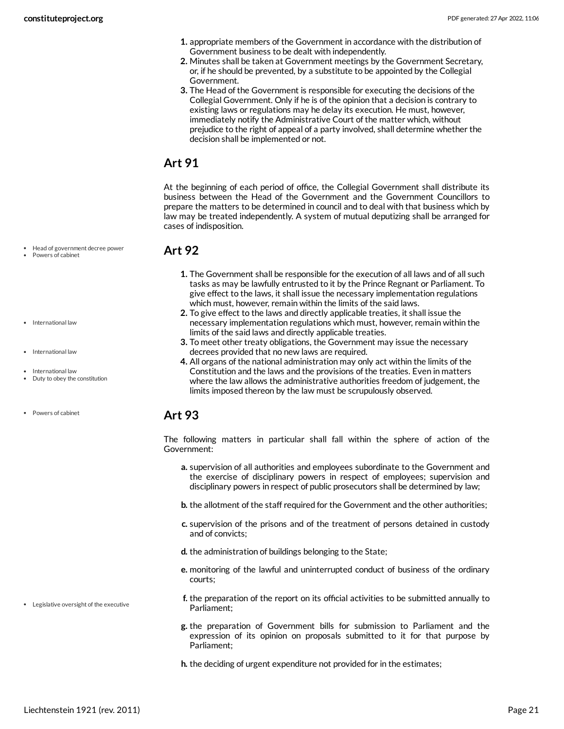- **1.** appropriate members of the Government in accordance with the distribution of Government business to be dealt with independently.
- **2.** Minutes shall be taken at Government meetings by the Government Secretary, or, if he should be prevented, by a substitute to be appointed by the Collegial Government.
- **3.** The Head of the Government is responsible for executing the decisions of the Collegial Government. Only if he is of the opinion that a decision is contrary to existing laws or regulations may he delay its execution. He must, however, immediately notify the Administrative Court of the matter which, without prejudice to the right of appeal of a party involved, shall determine whether the decision shall be implemented or not.

<span id="page-20-0"></span>At the beginning of each period of office, the Collegial Government shall distribute its business between the Head of the Government and the Government Councillors to prepare the matters to be determined in council and to deal with that business which by law may be treated independently. A system of mutual deputizing shall be arranged for cases of indisposition.

#### <span id="page-20-1"></span>**Art 92**

- **1.** The Government shall be responsible for the execution of all laws and of all such tasks as may be lawfully entrusted to it by the Prince Regnant or Parliament. To give effect to the laws, it shall issue the necessary implementation regulations which must, however, remain within the limits of the said laws.
- **2.** To give effect to the laws and directly applicable treaties, it shall issue the necessary implementation regulations which must, however, remain within the limits of the said laws and directly applicable treaties.
- **3.** To meet other treaty obligations, the Government may issue the necessary decrees provided that no new laws are required.
- **4.** All organs of the national administration may only act within the limits of the Constitution and the laws and the provisions of the treaties. Even in matters where the law allows the administrative authorities freedom of judgement, the limits imposed thereon by the law must be scrupulously observed.

#### <span id="page-20-2"></span>**Art 93**

<span id="page-20-3"></span>The following matters in particular shall fall within the sphere of action of the Government:

- **a.** supervision of all authorities and employees subordinate to the Government and the exercise of disciplinary powers in respect of employees; supervision and disciplinary powers in respect of public prosecutors shall be determined by law;
- **b.** the allotment of the staff required for the Government and the other authorities;
- **c.** supervision of the prisons and of the treatment of persons detained in custody and of convicts;
- **d.** the administration of buildings belonging to the State;
- **e.** monitoring of the lawful and uninterrupted conduct of business of the ordinary courts;
- **f.** the preparation of the report on its official activities to be submitted annually to Parliament;
- **g.** the preparation of Government bills for submission to Parliament and the expression of its opinion on proposals submitted to it for that purpose by Parliament;
- **h.** the deciding of urgent expenditure not provided for in the estimates;
- Head of government decree power
- Powers of cabinet
- International law
- International law
- International law
- Duty to obey the constitution
- Powers of cabinet

Legislative oversight of the executive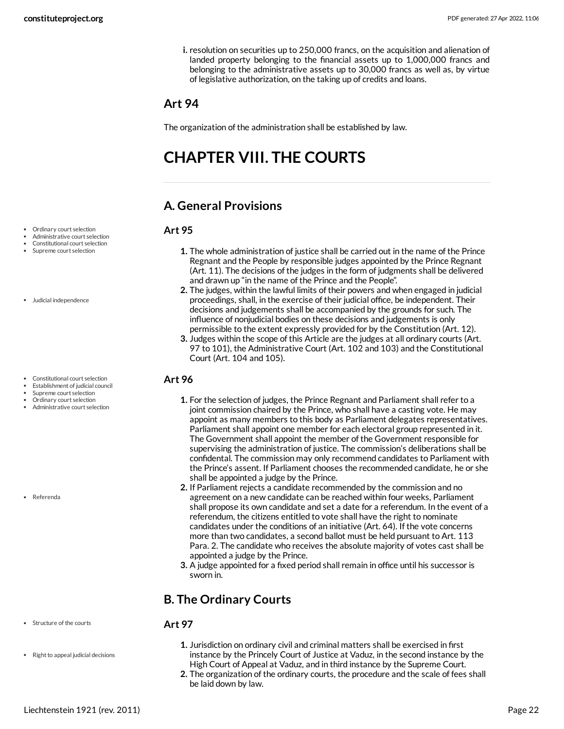**i.** resolution on securities up to 250,000 francs, on the acquisition and alienation of landed property belonging to the financial assets up to 1,000,000 francs and belonging to the administrative assets up to 30,000 francs as well as, by virtue of legislative authorization, on the taking up of credits and loans.

**1.** The whole administration of justice shall be carried out in the name of the Prince Regnant and the People by responsible judges appointed by the Prince Regnant (Art. 11). The decisions of the judges in the form of judgments shall be delivered

**2.** The judges, within the lawful limits of their powers and when engaged in judicial proceedings, shall, in the exercise of their judicial office, be independent. Their decisions and judgements shall be accompanied by the grounds for such. The influence of nonjudicial bodies on these decisions and judgements is only permissible to the extent expressly provided for by the Constitution (Art. 12). **3.** Judges within the scope of this Article are the judges at all ordinary courts (Art. 97 to 101), the Administrative Court (Art. 102 and 103) and the Constitutional

**1.** For the selection of judges, the Prince Regnant and Parliament shall refer to a joint commission chaired by the Prince, who shall have a casting vote. He may appoint as many members to this body as Parliament delegates representatives. Parliament shall appoint one member for each electoral group represented in it. The Government shall appoint the member of the Government responsible for supervising the administration of justice. The commission's deliberations shall be confidental. The commission may only recommend candidates to Parliament with the Prince's assent. If Parliament chooses the recommended candidate, he or she

**2.** If Parliament rejects a candidate recommended by the commission and no agreement on a new candidate can be reached within four weeks, Parliament shall propose its own candidate and set a date for a referendum. In the event of a referendum, the citizens entitled to vote shall have the right to nominate candidates under the conditions of an initiative (Art. 64). If the vote concerns more than two candidates, a second ballot must be held pursuant to Art. 113 Para. 2. The candidate who receives the absolute majority of votes cast shall be

**3.** A judge appointed for a fixed period shall remain in office until his successor is

#### <span id="page-21-0"></span>**Art 94**

The organization of the administration shall be established by law.

and drawn up "in the name of the Prince and the People".

# <span id="page-21-1"></span>**CHAPTER VIII. THE COURTS**

## <span id="page-21-2"></span>**A. General Provisions**

Court (Art. 104 and 105).

shall be appointed a judge by the Prince.

appointed a judge by the Prince.

#### <span id="page-21-4"></span>**Art 95**

<span id="page-21-5"></span>**Art 96**

- Ordinary court selection Administrative court selection
- Constitutional court selection
- Supreme court selection
- Judicial independence
- Constitutional court selection
- Establishment of judicial council Supreme court selection
- Ordinary court selection
- Administrative court selection

Referenda

Structure of the courts

• Right to appeal judicial decisions

#### <span id="page-21-6"></span>**Art 97**

sworn in.

<span id="page-21-3"></span>**B. The Ordinary Courts**

- **1.** Jurisdiction on ordinary civil and criminal matters shall be exercised in first instance by the Princely Court of Justice at Vaduz, in the second instance by the High Court of Appeal at Vaduz, and in third instance by the Supreme Court.
- **2.** The organization of the ordinary courts, the procedure and the scale of fees shall be laid down by law.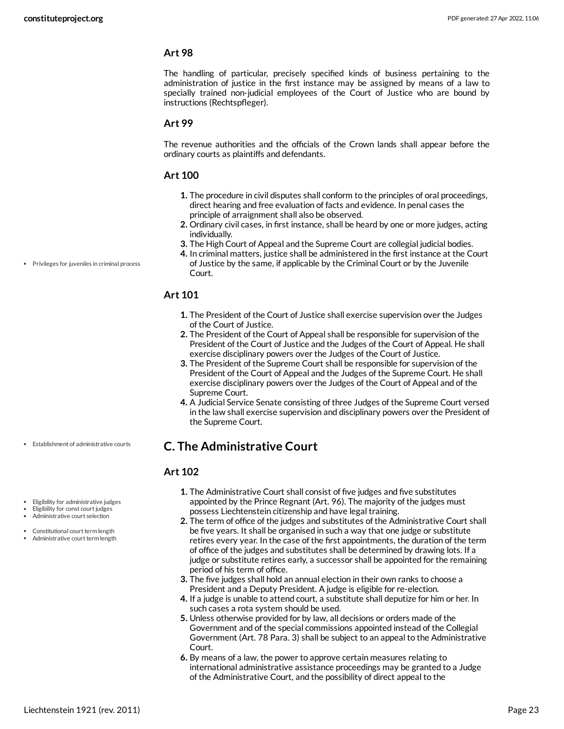The handling of particular, precisely specified kinds of business pertaining to the administration of justice in the first instance may be assigned by means of a law to specially trained non-judicial employees of the Court of Justice who are bound by instructions (Rechtspfleger).

#### **Art 99**

The revenue authorities and the officials of the Crown lands shall appear before the ordinary courts as plaintiffs and defendants.

#### <span id="page-22-2"></span>**Art 100**

- **1.** The procedure in civil disputes shall conform to the principles of oral proceedings, direct hearing and free evaluation of facts and evidence. In penal cases the principle of arraignment shall also be observed.
- **2.** Ordinary civil cases, in first instance, shall be heard by one or more judges, acting individually.
- **3.** The High Court of Appeal and the Supreme Court are collegial judicial bodies.
- **4.** In criminal matters, justice shall be administered in the first instance at the Court of Justice by the same, if applicable by the Criminal Court or by the Juvenile Court.

#### **Art 101**

- **1.** The President of the Court of Justice shall exercise supervision over the Judges of the Court of Justice.
- **2.** The President of the Court of Appeal shall be responsible for supervision of the President of the Court of Justice and the Judges of the Court of Appeal. He shall exercise disciplinary powers over the Judges of the Court of Justice.
- **3.** The President of the Supreme Court shall be responsible for supervision of the President of the Court of Appeal and the Judges of the Supreme Court. He shall exercise disciplinary powers over the Judges of the Court of Appeal and of the Supreme Court.
- **4.** A Judicial Service Senate consisting of three Judges of the Supreme Court versed in the law shall exercise supervision and disciplinary powers over the President of the Supreme Court.

#### <span id="page-22-0"></span>**C. The Administrative Court**

#### <span id="page-22-1"></span>**Art 102**

- Eligibility for administrative judges
- Eligibility for const court judges

Establishment of administrative courts

- Administrative court selection
- Constitutional court term length Administrative court term length
- **1.** The Administrative Court shall consist of five judges and five substitutes appointed by the Prince Regnant (Art. 96). The majority of the judges must possess Liechtenstein citizenship and have legal training.
- **2.** The term of office of the judges and substitutes of the Administrative Court shall be five years. It shall be organised in such a way that one judge or substitute retires every year. In the case of the first appointments, the duration of the term of office of the judges and substitutes shall be determined by drawing lots. If a judge or substitute retires early, a successor shall be appointed for the remaining period of his term of office.
- **3.** The five judges shall hold an annual election in their own ranks to choose a President and a Deputy President. A judge is eligible for re-election.
- **4.** If a judge is unable to attend court, a substitute shall deputize for him or her. In such cases a rota system should be used.
- **5.** Unless otherwise provided for by law, all decisions or orders made of the Government and of the special commissions appointed instead of the Collegial Government (Art. 78 Para. 3) shall be subject to an appeal to the Administrative Court.
- **6.** By means of a law, the power to approve certain measures relating to international administrative assistance proceedings may be granted to a Judge of the Administrative Court, and the possibility of direct appeal to the

Privileges for juveniles in criminal process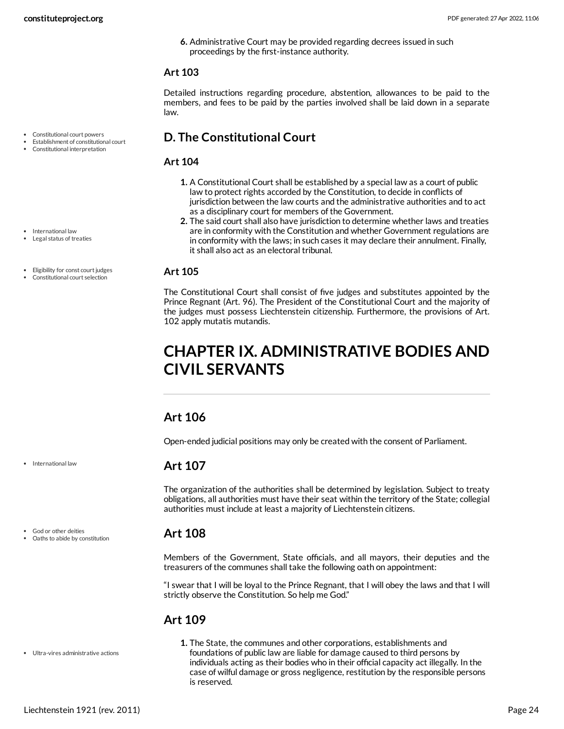**6.** Administrative Court may be provided regarding decrees issued in such proceedings by the first-instance authority.

#### **Art 103**

Detailed instructions regarding procedure, abstention, allowances to be paid to the members, and fees to be paid by the parties involved shall be laid down in a separate law.

#### <span id="page-23-0"></span>**D. The Constitutional Court**

#### <span id="page-23-7"></span>**Art 104**

- **1.** A Constitutional Court shall be established by a special law as a court of public law to protect rights accorded by the Constitution, to decide in conflicts of jurisdiction between the law courts and the administrative authorities and to act as a disciplinary court for members of the Government.
- **2.** The said court shall also have jurisdiction to determine whether laws and treaties are in conformity with the Constitution and whether Government regulations are in conformity with the laws; in such cases it may declare their annulment. Finally, it shall also act as an electoral tribunal.

#### <span id="page-23-6"></span>**Art 105**

The Constitutional Court shall consist of five judges and substitutes appointed by the Prince Regnant (Art. 96). The President of the Constitutional Court and the majority of the judges must possess Liechtenstein citizenship. Furthermore, the provisions of Art. 102 apply mutatis mutandis.

# <span id="page-23-1"></span>**CHAPTER IX. ADMINISTRATIVE BODIES AND CIVIL SERVANTS**

#### <span id="page-23-2"></span>**Art 106**

Open-ended judicial positions may only be created with the consent of Parliament.

#### <span id="page-23-3"></span>**Art 107**

The organization of the authorities shall be determined by legislation. Subject to treaty obligations, all authorities must have their seat within the territory of the State; collegial authorities must include at least a majority of Liechtenstein citizens.

#### <span id="page-23-4"></span>**Art 108**

Members of the Government, State officials, and all mayors, their deputies and the treasurers of the communes shall take the following oath on appointment:

"I swear that I will be loyal to the Prince Regnant, that I will obey the laws and that I will strictly observe the Constitution. So help me God."

### <span id="page-23-5"></span>**Art 109**

**1.** The State, the communes and other corporations, establishments and foundations of public law are liable for damage caused to third persons by individuals acting as their bodies who in their official capacity act illegally. In the case of wilful damage or gross negligence, restitution by the responsible persons is reserved.

Constitutional court powers Establishment of constitutional court Constitutional interpretation

• International law

- Legal status of treaties
- Eligibility for const court judges
- Constitutional court selection

• International law

God or other deities Oaths to abide by constitution

Ultra-vires administrative actions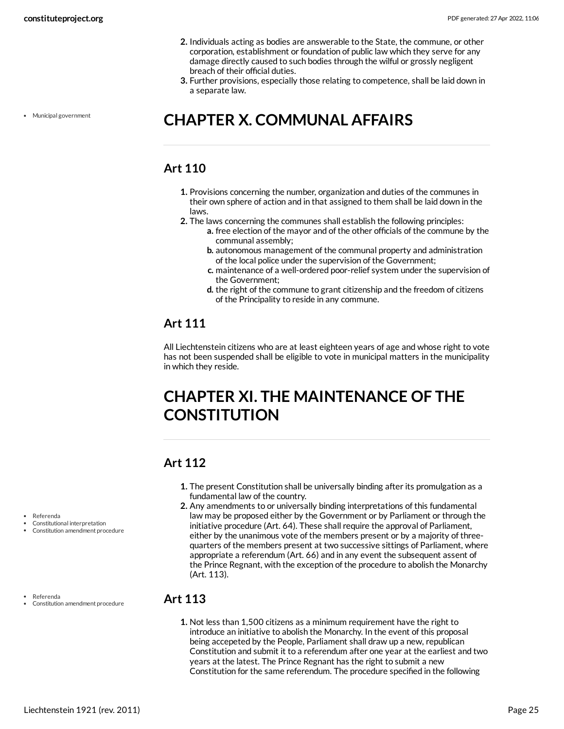- **2.** Individuals acting as bodies are answerable to the State, the commune, or other corporation, establishment or foundation of public law which they serve for any damage directly caused to such bodies through the wilful or grossly negligent breach of their official duties.
- **3.** Further provisions, especially those relating to competence, shall be laid down in a separate law.

Municipal government

# <span id="page-24-0"></span>**CHAPTER X. COMMUNAL AFFAIRS**

### <span id="page-24-1"></span>**Art 110**

- **1.** Provisions concerning the number, organization and duties of the communes in their own sphere of action and in that assigned to them shall be laid down in the laws.
- **2.** The laws concerning the communes shall establish the following principles:
	- **a.** free election of the mayor and of the other officials of the commune by the communal assembly;
	- **b.** autonomous management of the communal property and administration of the local police under the supervision of the Government;
	- **c.** maintenance of a well-ordered poor-relief system under the supervision of the Government;
	- **d.** the right of the commune to grant citizenship and the freedom of citizens of the Principality to reside in any commune.

## <span id="page-24-2"></span>**Art 111**

All Liechtenstein citizens who are at least eighteen years of age and whose right to vote has not been suspended shall be eligible to vote in municipal matters in the municipality in which they reside.

# <span id="page-24-3"></span>**CHAPTER XI. THE MAINTENANCE OF THE CONSTITUTION**

### <span id="page-24-4"></span>**Art 112**

- **1.** The present Constitution shall be universally binding after its promulgation as a fundamental law of the country.
- **2.** Any amendments to or universally binding interpretations of this fundamental law may be proposed either by the Government or by Parliament or through the initiative procedure (Art. 64). These shall require the approval of Parliament, either by the unanimous vote of the members present or by a majority of threequarters of the members present at two successive sittings of Parliament, where appropriate a referendum (Art. 66) and in any event the subsequent assent of the Prince Regnant, with the exception of the procedure to abolish the Monarchy (Art. 113).

#### <span id="page-24-5"></span>**Art 113**

**1.** Not less than 1,500 citizens as a minimum requirement have the right to introduce an initiative to abolish the Monarchy. In the event of this proposal being accepeted by the People, Parliament shall draw up a new, republican Constitution and submit it to a referendum after one year at the earliest and two years at the latest. The Prince Regnant has the right to submit a new Constitution for the same referendum. The procedure specified in the following

Referenda

Constitutional interpretation Constitution amendment procedure

Referenda

Constitution amendment procedure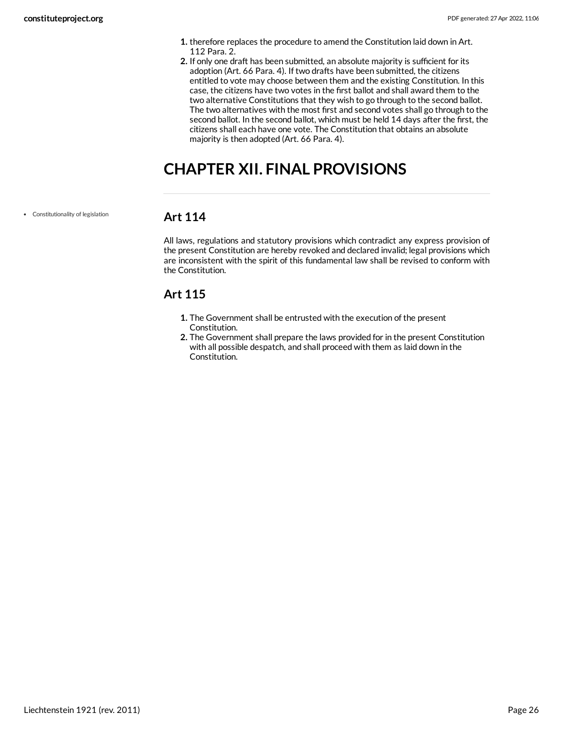- **1.** therefore replaces the procedure to amend the Constitution laid down in Art. 112 Para. 2.
- **2.** If only one draft has been submitted, an absolute majority is sufficient for its adoption (Art. 66 Para. 4). If two drafts have been submitted, the citizens entitled to vote may choose between them and the existing Constitution. In this case, the citizens have two votes in the first ballot and shall award them to the two alternative Constitutions that they wish to go through to the second ballot. The two alternatives with the most first and second votes shall go through to the second ballot. In the second ballot, which must be held 14 days after the first, the citizens shall each have one vote. The Constitution that obtains an absolute majority is then adopted (Art. 66 Para. 4).

# <span id="page-25-0"></span>**CHAPTER XII. FINAL PROVISIONS**

Constitutionality of legislation

#### <span id="page-25-1"></span>**Art 114**

All laws, regulations and statutory provisions which contradict any express provision of the present Constitution are hereby revoked and declared invalid; legal provisions which are inconsistent with the spirit of this fundamental law shall be revised to conform with the Constitution.

## <span id="page-25-2"></span>**Art 115**

- **1.** The Government shall be entrusted with the execution of the present Constitution.
- **2.** The Government shall prepare the laws provided for in the present Constitution with all possible despatch, and shall proceed with them as laid down in the Constitution.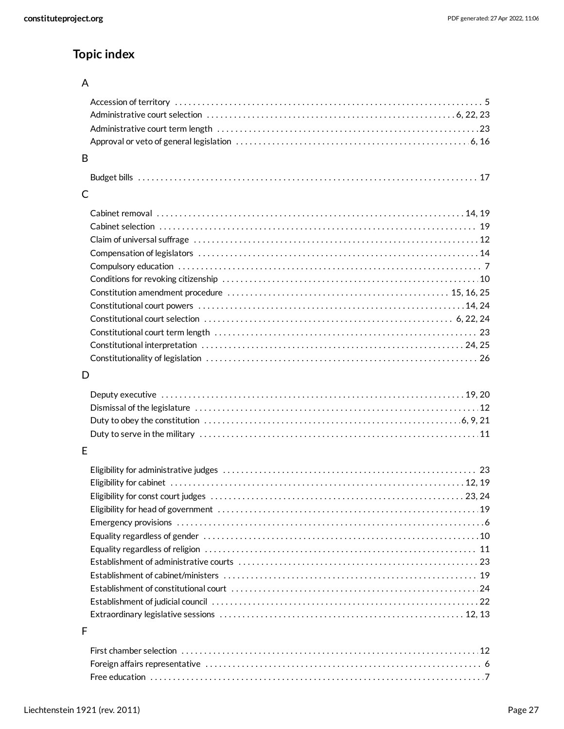## **Topic index**

#### A

| B |  |
|---|--|
|   |  |
| С |  |
|   |  |
|   |  |
|   |  |
|   |  |
|   |  |
|   |  |
|   |  |
|   |  |
|   |  |
|   |  |
|   |  |
|   |  |
|   |  |
| D |  |
|   |  |
|   |  |
|   |  |
|   |  |
|   |  |
| E |  |
|   |  |
|   |  |
|   |  |
|   |  |
|   |  |
|   |  |
|   |  |
|   |  |
|   |  |
|   |  |
|   |  |
|   |  |
| F |  |
|   |  |
|   |  |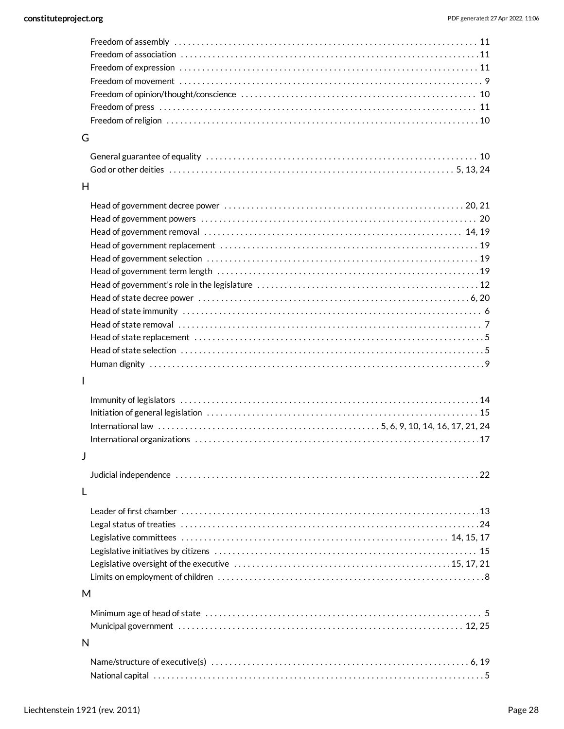| G |  |
|---|--|
|   |  |
|   |  |
| H |  |

|  | _ |  |
|--|---|--|
|  |   |  |
|  |   |  |

I

#### J

| Judicial independence in its contract to contact the control of the control of the control of the control of t |  |  |  |  |
|----------------------------------------------------------------------------------------------------------------|--|--|--|--|
|                                                                                                                |  |  |  |  |

#### L

#### M

#### N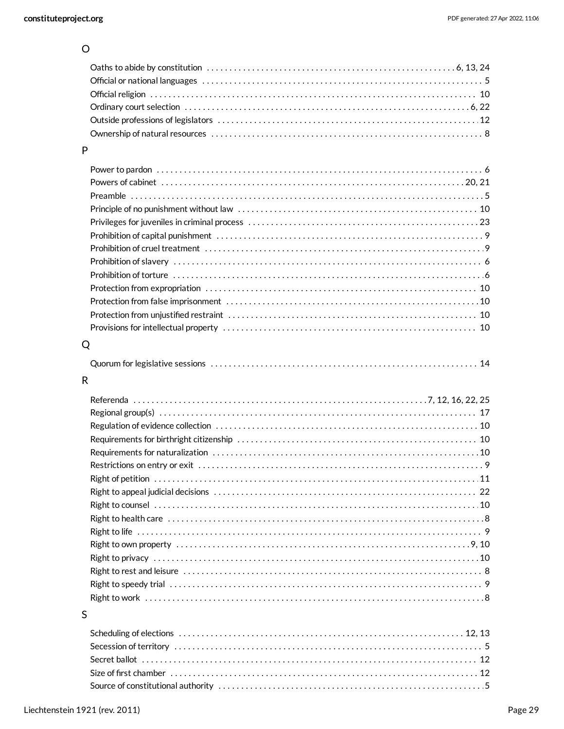#### $\circ$

#### $\mathsf{P}$

#### ${\sf Q}$

|--|

## $\overline{\mathsf{R}}$

#### $\sf S$